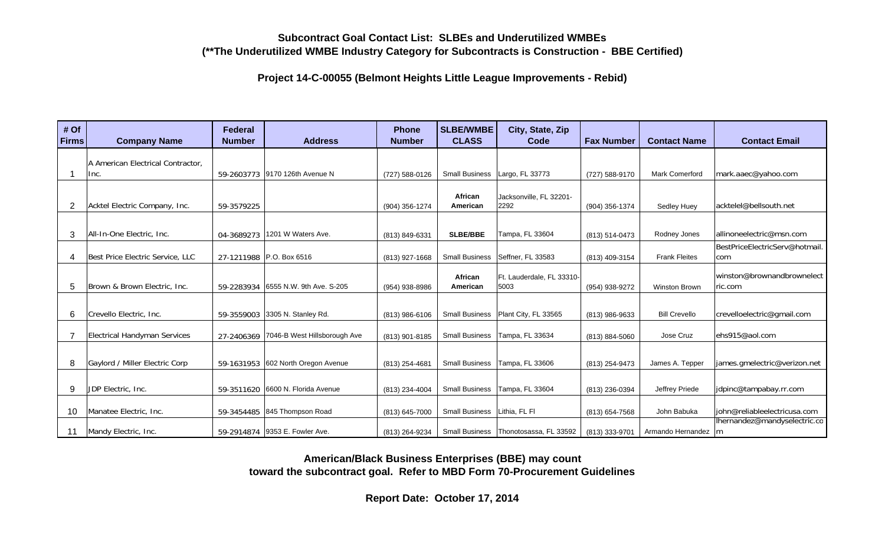## **Subcontract Goal Contact List: SLBEs and Underutilized WMBEs(\*\*The Underutilized WMBE Industry Category for Subcontracts is Construction - BBE Certified)**

**Project 14-C-00055 (Belmont Heights Little League Improvements - Rebid)**

| # Of<br><b>Firms</b> | <b>Company Name</b>                       | <b>Federal</b><br><b>Number</b> | <b>Address</b>                   | <b>Phone</b><br><b>Number</b> | <b>SLBE/WMBE</b><br><b>CLASS</b> | City, State, Zip<br>Code                | <b>Fax Number</b> | <b>Contact Name</b>   | <b>Contact Email</b>                  |
|----------------------|-------------------------------------------|---------------------------------|----------------------------------|-------------------------------|----------------------------------|-----------------------------------------|-------------------|-----------------------|---------------------------------------|
|                      |                                           |                                 |                                  |                               |                                  |                                         |                   |                       |                                       |
|                      | A American Electrical Contractor,<br>Inc. |                                 | 59-2603773 9170 126th Avenue N   | (727) 588-0126                | <b>Small Business</b>            | Largo, FL 33773                         | (727) 588-9170    | <b>Mark Comerford</b> | mark.aaec@yahoo.com                   |
|                      |                                           |                                 |                                  |                               |                                  |                                         |                   |                       |                                       |
| $\overline{2}$       | Acktel Electric Company, Inc.             | 59-3579225                      |                                  | (904) 356-1274                | African<br>American              | Jacksonville, FL 32201-<br>2292         | (904) 356-1374    | Sedley Huey           | acktelel@bellsouth.net                |
|                      |                                           |                                 |                                  |                               |                                  |                                         |                   |                       |                                       |
| 3                    | All-In-One Electric, Inc.                 | 04-3689273                      | 1201 W Waters Ave.               | (813) 849-6331                | <b>SLBE/BBE</b>                  | Tampa, FL 33604                         | (813) 514-0473    | Rodney Jones          | allinoneelectric@msn.com              |
|                      |                                           |                                 |                                  |                               |                                  |                                         |                   |                       | BestPriceElectricServ@hotmail.        |
| 4                    | Best Price Electric Service, LLC          |                                 | 27-1211988 P.O. Box 6516         | (813) 927-1668                | <b>Small Business</b>            | Seffner, FL 33583                       | (813) 409-3154    | <b>Frank Fleites</b>  | com                                   |
| 5                    | Brown & Brown Electric, Inc.              | 59-2283934                      | 6555 N.W. 9th Ave. S-205         | (954) 938-8986                | African<br>American              | Ft. Lauderdale, FL 33310-<br>5003       | (954) 938-9272    | Winston Brown         | winston@brownandbrownelect<br>ric.com |
|                      |                                           |                                 |                                  |                               |                                  |                                         |                   |                       |                                       |
| 6                    | Crevello Electric, Inc.                   | 59-3559003                      | 3305 N. Stanley Rd.              | (813) 986-6106                | <b>Small Business</b>            | Plant City, FL 33565                    | (813) 986-9633    | <b>Bill Crevello</b>  | crevelloelectric@gmail.com            |
| 7                    | <b>Electrical Handyman Services</b>       | 27-2406369                      | 7046-B West Hillsborough Ave     | (813) 901-8185                | <b>Small Business</b>            | Tampa, FL 33634                         | (813) 884-5060    | Jose Cruz             | ehs915@aol.com                        |
|                      |                                           |                                 |                                  |                               |                                  |                                         |                   |                       |                                       |
| 8                    | Gaylord / Miller Electric Corp            | 59-1631953                      | 602 North Oregon Avenue          | (813) 254-4681                | <b>Small Business</b>            | Tampa, FL 33606                         | (813) 254-9473    | James A. Tepper       | james.gmelectric@verizon.net          |
|                      |                                           |                                 |                                  |                               |                                  |                                         |                   |                       |                                       |
| 9                    | JDP Electric, Inc.                        | 59-3511620                      | 6600 N. Florida Avenue           | (813) 234-4004                | <b>Small Business</b>            | Tampa, FL 33604                         | (813) 236-0394    | Jeffrey Priede        | jdpinc@tampabay.rr.com                |
| 10                   | Manatee Electric, Inc.                    | 59-3454485                      | 845 Thompson Road                | (813) 645-7000                | <b>Small Business</b>            | Lithia. FL FI                           | (813) 654-7568    | John Babuka           | john@reliableelectricusa.com          |
|                      |                                           |                                 |                                  |                               |                                  |                                         |                   |                       | lhernandez@mandyselectric.co          |
| 11                   | Mandy Electric, Inc.                      |                                 | 59-2914874   9353 E. Fowler Ave. | (813) 264-9234                |                                  | Small Business   Thonotosassa, FL 33592 | (813) 333-9701    | Armando Hernandez   m |                                       |

**American/Black Business Enterprises (BBE) may count toward the subcontract goal. Refer to MBD Form 70-Procurement Guidelines**

**Report Date: October 17, 2014**